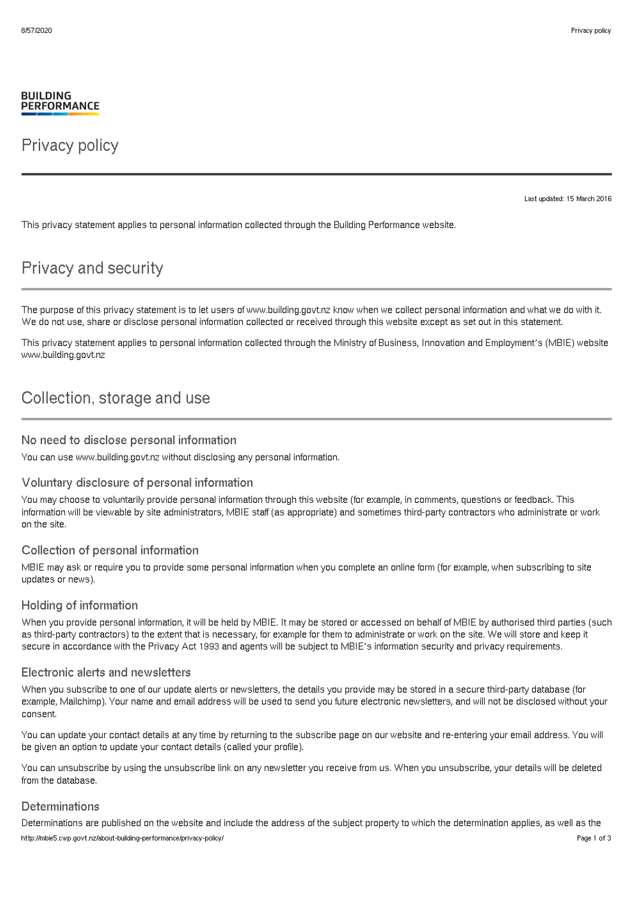#### **BUILDING PERFORMANCE**

## Privacy policy

Last updated: 15 March 2016

This privacy statement applies to personal information collected through the Building Performance website.

# Privacy and security

The purpose of this privacy statement is to let users of www.building.govt.nz know when we collect personal information and what we do with it. We do not use, share or disclose personal information collected or received through this website except as set out in this statement.

This privacy statement applies to personal information collected through the Ministry of Business, Innovation and Employment's (MBIE) website www.building.govt.nz

## Collection, storage and use

#### No need to disclose personal information

You can use www.building.govt.nz without disclosing any personal information.

## Voluntary disclosure of personal information

You may choose to voluntarily provide personal information through this website (for example, in comments, questions or feedback. This information will be viewable by site administrators, MBIE staff (as appropriate) and sometimes third-party contractors who administrate or work on the site.

## Collection of personal information

MBIE may ask or require you to provide some personal information when you complete an online form (for example, when subscribing to site updates or news).

## Holding of information

When you provide personal information, it will be held by MBIE. It may be stored or accessed on behalf of MBIE by authorised third parties (such as third-party contractors) to the extent that is necessary, for example for them to administrate or work on the site. We will store and keep it secure in accordance with the Privacy Act 1993 and agents will be subject to MBIE's information security and privacy requirements.

## Electronic alerts and newsletters

When you subscribe to one of our update alerts or newsletters, the details you provide may be stored in a secure third-party database (for example, Mailchimp). Your name and email address will be used to send you future electronic newsletters, and will not be disclosed without your consent.

You can update your contact details at any time by returning to the subscribe page on our website and re-entering your email address. You will be given an option to update your contact details (called your profile).

You can unsubscribe by using the unsubscribe link on any newsletter you receive from us. When you unsubscribe, your details will be deleted from the database.

## **Determinations**

Determinations are published on the website and include the address of the subject property to which the determination applies, as well as the http://mbie5.cwp.govt.nz/about-building-performance/privacy-policy/ Page 1 of 3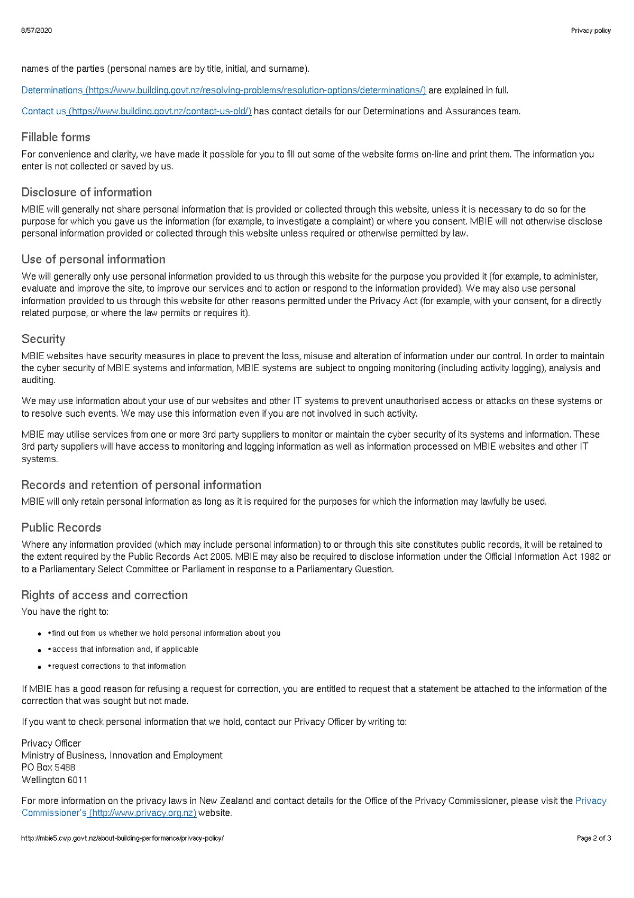names of the parties (personal names are by title, initial, and surname).

Determinations [\(https://www.building.govt.nz/resolving-problems/resolution-options/determinations/\)](http://mbie5.cwp.govt.nz/resolving-problems/resolution-options/determinations/) are explained in full.

Contact us [\(https://www.building.govt.nz/contact-us-old/\)](http://mbie5.cwp.govt.nz/contact-us-old/) has contact details for our Determinations and Assurances team.

#### Fillable forms

For convenience and clarity, we have made it possible for you to fill out some of the website forms on-line and print them. The information you enter is not collected or saved by us.

## Disclosure of information

MBIE will generally not share personal information that is provided or collected through this website, unless it is necessary to do so for the purpose for which you gave us the information (for example, to investigate a complaint) or where you consent. MBIE will not otherwise disclose personal information provided or collected through this website unless required or otherwise permitted by law.

#### Use of personal information

We will generally only use personal information provided to us through this website for the purpose you provided it (for example, to administer, evaluate and improve the site, to improve our services and to action or respond to the information provided). We may also use personal information provided to us through this website for other reasons permitted under the Privacy Act (for example, with your consent, for a directly related purpose, or where the law permits or requires it).

#### **Security**

MBIE websites have security measures in place to prevent the loss, misuse and alteration of information under our control. In order to maintain the cyber security of MBIE systems and information, MBIE systems are subject to ongoing monitoring (including activity logging), analysis and auditing.

We may use information about your use of our websites and other IT systems to prevent unauthorised access or attacks on these systems or to resolve such events. We may use this information even if you are not involved in such activity.

MBIE may utilise services from one or more 3rd party suppliers to monitor or maintain the cyber security of its systems and information. These 3rd party suppliers will have access to monitoring and logging information as well as information processed on MBIE websites and other IT systems.

## Records and retention of personal information

MBIE will only retain personal information as long as it is required for the purposes for which the information may lawfully be used.

## Public Records

Where any information provided (which may include personal information) to or through this site constitutes public records, it will be retained to the extent required by the Public Records Act 2005. MBIE may also be required to disclose information under the Official Information Act 1982 or to a Parliamentary Select Committee or Parliament in response to a Parliamentary Question.

## Rights of access and correction

You have the right to:

- • find out from us whether we hold personal information about you
- • access that information and, if applicable
- •request corrections to that information

If MBIE has a good reason for refusing a request for correction, you are entitled to request that a statement be attached to the information of the correction that was sought but not made.

If you want to check personal information that we hold, contact our Privacy Officer by writing to:

Privacy Officer Ministry of Business, Innovation and Employment PO Box 5488 Wellington 6011

For more information on the privacy laws in New Zealand and contact details for the Office of the Privacy Commissioner, please visit the Privacy Commissioner's [\(http://www.privacy.org.nz\)](http://www.privacy.org.nz) website.